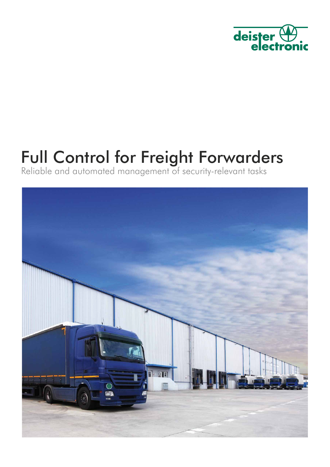

# Full Control for Freight Forwarders

Reliable and automated management of security-relevant tasks

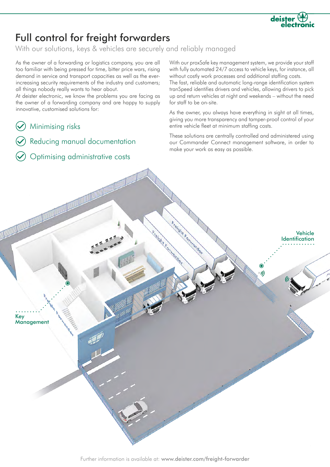

### Full control for freight forwarders

With our solutions, keys & vehicles are securely and reliably managed

As the owner of a forwarding or logistics company, you are all too familiar with being pressed for time, bitter price wars, rising demand in service and transport capacities as well as the everincreasing security requirements of the industry and customers; all things nobody really wants to hear about.

At deister electronic, we know the problems you are facing as the owner of a forwarding company and are happy to supply innovative, customised solutions for:

- Minimising risks
- Reducing manual documentation
- Optimising administrative costs

With our proxSafe key management system, we provide your staff with fully automated 24/7 access to vehicle keys, for instance, all without costly work processes and additional staffing costs.

The fast, reliable and automatic long-range identification system tranSpeed identifies drivers and vehicles, allowing drivers to pick up and return vehicles at night and weekends – without the need for staff to be on-site.

As the owner, you always have everything in sight at all times, giving you more transparency and tamper-proof control of your entire vehicle fleet at minimum staffing costs.

These solutions are centrally controlled and administered using our Commander Connect management software, in order to make your work as easy as possible.

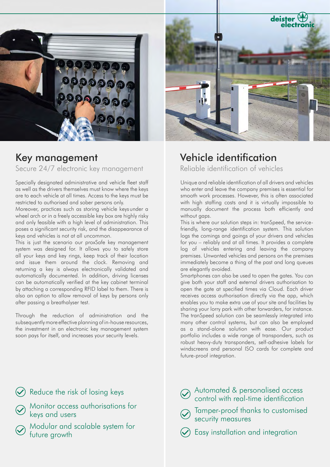

### Key management

Secure 24/7 electronic key management

Specially designated administrative and vehicle fleet staff as well as the drivers themselves must know where the keys are to each vehicle at all times. Access to the keys must be restricted to authorised and sober persons only.

Moreover, practices such as storing vehicle keysunder a wheel arch or in a freely accessible key box are highly risky and only feasible with a high level of administration. This poses a significant security risk, and the disappearance of keys and vehicles is not at all uncommon.

This is just the scenario our proxSafe key management system was designed for. It allows you to safely store all your keys and key rings, keep track of their location and issue them around the clock. Removing and returning a key is always electronically validated and automatically documented. In addition, driving licenses can be automatically verified at the key cabinet terminal by attaching a corresponding RFID label to them. There is also an option to allow removal of keys by persons only after passing a breathalyser test.

Through the reduction of administration and the subsequently more effective planning of in-house resources, the investment in an electronic key management system soon pays for itself, and increases your security levels.



### Vehicle identification

Reliable identification of vehicles

Unique and reliable identification of all drivers and vehicles who enter and leave the company premises is essential for smooth work processes. However, this is often associated with high staffing costs and it is virtually impossible to manually document the process both efficiently and without gaps.

This is where our solution steps in: tranSpeed, the servicefriendly, long-range identification system. This solution logs the comings and goings of your drivers and vehicles for you – reliably and at all times. It provides a complete log of vehicles entering and leaving the company premises. Unwanted vehicles and persons on the premises immediately become a thing of the past and long queues are elegantly avoided.

Smartphones can also be used to open the gates. You can give both your staff and external drivers authorisation to open the gate at specified times via Cloud. Each driver receives access authorisation directly via the app, which enables you to make extra use of your site and facilities by sharing your lorry park with other forwarders, for instance. The tranSpeed solution can be seamlessly integrated into many other control systems, but can also be employed as a stand-alone solution with ease. Our product portfolio includes a wide range of transponders, such as robust heavy-duty transponders, self-adhesive labels for windscreens and personal ISO cards for complete and future-proof integration.

Reduce the risk of losing keys

- Monitor access authorisations for keys and users
	- Modular and scalable system for future growth
- Automated & personalised access control with real-time identification
	- Tamper-proof thanks to customised security measures
	- Easy installation and integration